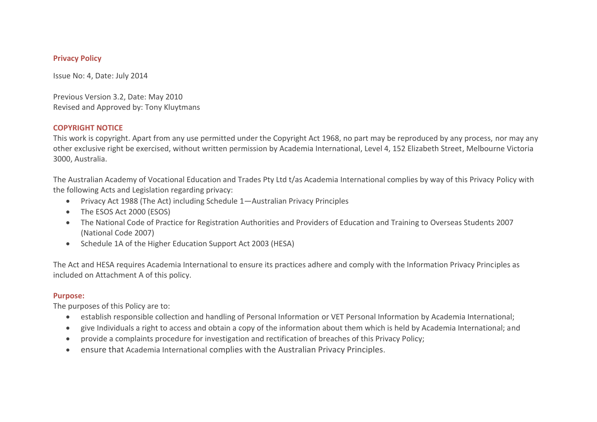# **Privacy Policy**

Issue No: 4, Date: July 2014

Previous Version 3.2, Date: May 2010 Revised and Approved by: Tony Kluytmans

#### **COPYRIGHT NOTICE**

This work is copyright. Apart from any use permitted under the Copyright Act 1968, no part may be reproduced by any process, nor may any other exclusive right be exercised, without written permission by Academia International, Level 4, 152 Elizabeth Street, Melbourne Victoria 3000, Australia.

The Australian Academy of Vocational Education and Trades Pty Ltd t/as Academia International complies by way of this Privacy Policy with the following Acts and Legislation regarding privacy:

- Privacy Act 1988 (The Act) including Schedule 1—Australian Privacy Principles
- The ESOS Act 2000 (ESOS)
- The National Code of Practice for Registration Authorities and Providers of Education and Training to Overseas Students 2007 (National Code 2007)
- Schedule 1A of the Higher Education Support Act 2003 (HESA)

The Act and HESA requires Academia International to ensure its practices adhere and comply with the Information Privacy Principles as included on Attachment A of this policy.

### **Purpose:**

The purposes of this Policy are to:

- establish responsible collection and handling of Personal Information or VET Personal Information by Academia International;
- give Individuals a right to access and obtain a copy of the information about them which is held by Academia International; and
- provide a complaints procedure for investigation and rectification of breaches of this Privacy Policy;
- ensure that Academia International complies with the Australian Privacy Principles.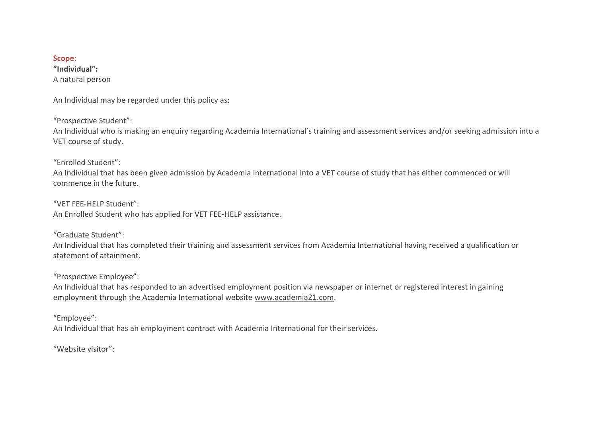#### **Scope:**

**"Individual":**  A natural person

An Individual may be regarded under this policy as:

"Prospective Student":

An Individual who is making an enquiry regarding Academia International's training and assessment services and/or seeking admission into a VET course of study.

"Enrolled Student":

An Individual that has been given admission by Academia International into a VET course of study that has either commenced or will commence in the future.

"VET FEE-HELP Student": An Enrolled Student who has applied for VET FEE-HELP assistance.

"Graduate Student":

An Individual that has completed their training and assessment services from Academia International having received a qualification or statement of attainment.

"Prospective Employee":

An Individual that has responded to an advertised employment position via newspaper or internet or registered interest in gaining employment through the Academia International website [www.academia21.com.](http://www.academia21.com/)

"Employee":

An Individual that has an employment contract with Academia International for their services.

"Website visitor":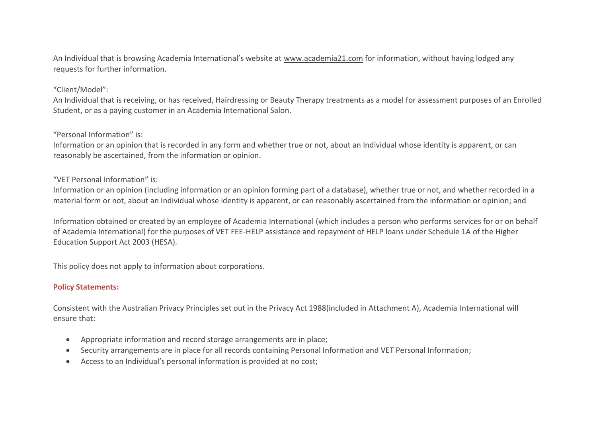An Individual that is browsing Academia International's website at [www.academia21.com](http://www.academia21.com/) for information, without having lodged any requests for further information.

## "Client/Model":

An Individual that is receiving, or has received, Hairdressing or Beauty Therapy treatments as a model for assessment purposes of an Enrolled Student, or as a paying customer in an Academia International Salon.

## "Personal Information" is:

Information or an opinion that is recorded in any form and whether true or not, about an Individual whose identity is apparent, or can reasonably be ascertained, from the information or opinion.

## "VET Personal Information" is:

Information or an opinion (including information or an opinion forming part of a database), whether true or not, and whether recorded in a material form or not, about an Individual whose identity is apparent, or can reasonably ascertained from the information or opinion; and

Information obtained or created by an employee of Academia International (which includes a person who performs services for or on behalf of Academia International) for the purposes of VET FEE-HELP assistance and repayment of HELP loans under Schedule 1A of the Higher Education Support Act 2003 (HESA).

This policy does not apply to information about corporations.

# **Policy Statements:**

Consistent with the Australian Privacy Principles set out in the Privacy Act 1988(included in Attachment A), Academia International will ensure that:

- Appropriate information and record storage arrangements are in place;
- Security arrangements are in place for all records containing Personal Information and VET Personal Information;
- Access to an Individual's personal information is provided at no cost;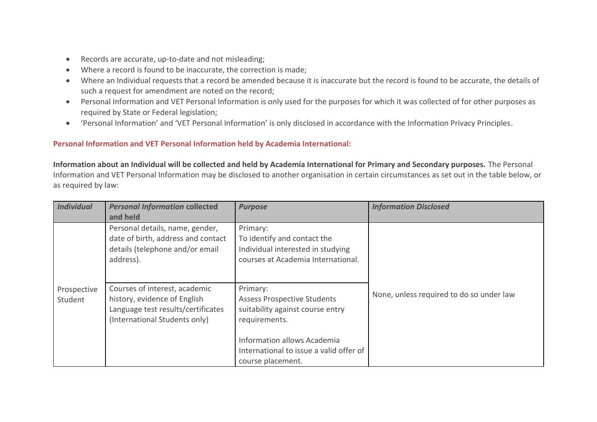- Records are accurate, up-to-date and not misleading;
- Where a record is found to be inaccurate, the correction is made;
- Where an Individual requests that a record be amended because it is inaccurate but the record is found to be accurate, the details of such a request for amendment are noted on the record;
- Personal Information and VET Personal Information is only used for the purposes for which it was collected of for other purposes as required by State or Federal legislation;
- 'Personal Information' and 'VET Personal Information' is only disclosed in accordance with the Information Privacy Principles.

# **Personal Information and VET Personal Information held by Academia International:**

**Information about an Individual will be collected and held by Academia International for Primary and Secondary purposes.** The Personal Information and VET Personal Information may be disclosed to another organisation in certain circumstances as set out in the table below, or as required by law:

| <b>Individual</b>      | <b>Personal Information collected</b><br>and held                                                                                    | <b>Purpose</b>                                                                                                     | <b>Information Disclosed</b>             |
|------------------------|--------------------------------------------------------------------------------------------------------------------------------------|--------------------------------------------------------------------------------------------------------------------|------------------------------------------|
|                        | Personal details, name, gender,<br>date of birth, address and contact<br>details (telephone and/or email<br>address).                | Primary:<br>To identify and contact the<br>Individual interested in studying<br>courses at Academia International. |                                          |
| Prospective<br>Student | Courses of interest, academic<br>history, evidence of English<br>Language test results/certificates<br>(International Students only) | Primary:<br><b>Assess Prospective Students</b><br>suitability against course entry<br>requirements.                | None, unless required to do so under law |
|                        |                                                                                                                                      | Information allows Academia<br>International to issue a valid offer of<br>course placement.                        |                                          |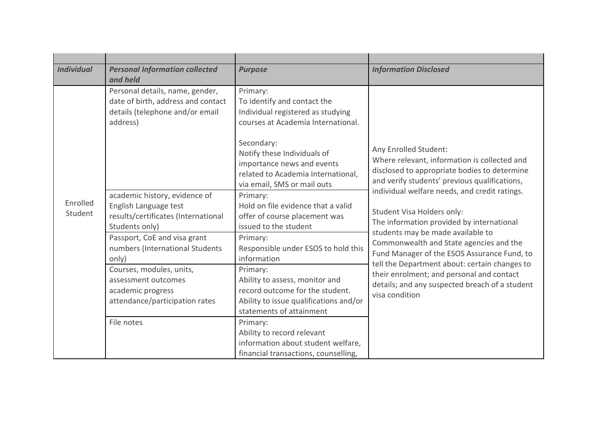| <b>Individual</b>   | <b>Personal Information collected</b><br>and held                                                                                                                                                                                                                               | <b>Purpose</b>                                                                                                                                                                                                                      | <b>Information Disclosed</b>                                                                                                            |
|---------------------|---------------------------------------------------------------------------------------------------------------------------------------------------------------------------------------------------------------------------------------------------------------------------------|-------------------------------------------------------------------------------------------------------------------------------------------------------------------------------------------------------------------------------------|-----------------------------------------------------------------------------------------------------------------------------------------|
|                     | Personal details, name, gender,<br>date of birth, address and contact<br>details (telephone and/or email<br>address)                                                                                                                                                            | Primary:<br>To identify and contact the<br>Individual registered as studying<br>courses at Academia International.<br>Secondary:<br>Notify these Individuals of<br>importance news and events<br>related to Academia International, | Any Enrolled Student:<br>Where relevant, information is collected and<br>disclosed to appropriate bodies to determine                   |
| Enrolled<br>Student | via email, SMS or mail outs<br>academic history, evidence of<br>Primary:<br>Hold on file evidence that a valid<br>English Language test<br>results/certificates (International<br>offer of course placement was<br>issued to the student<br>Students only)                      | and verify students' previous qualifications,<br>individual welfare needs, and credit ratings.<br>Student Visa Holders only:<br>The information provided by international<br>students may be made available to                      |                                                                                                                                         |
|                     | Passport, CoE and visa grant<br>numbers (International Students<br>only)                                                                                                                                                                                                        | Primary:<br>Responsible under ESOS to hold this<br>information                                                                                                                                                                      | Commonwealth and State agencies and the<br>Fund Manager of the ESOS Assurance Fund, to<br>tell the Department about: certain changes to |
|                     | Courses, modules, units,<br>Primary:<br>assessment outcomes<br>Ability to assess, monitor and<br>record outcome for the student.<br>academic progress<br>visa condition<br>attendance/participation rates<br>Ability to issue qualifications and/or<br>statements of attainment | their enrolment; and personal and contact<br>details; and any suspected breach of a student                                                                                                                                         |                                                                                                                                         |
|                     | File notes                                                                                                                                                                                                                                                                      | Primary:<br>Ability to record relevant<br>information about student welfare,<br>financial transactions, counselling,                                                                                                                |                                                                                                                                         |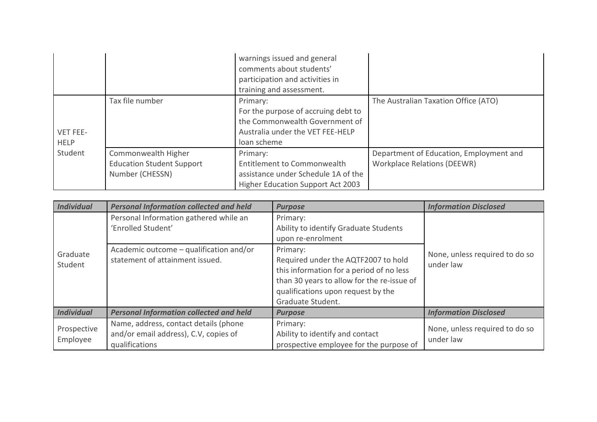|                         |                                                                            | warnings issued and general<br>comments about students'<br>participation and activities in<br>training and assessment.               |                                                                               |
|-------------------------|----------------------------------------------------------------------------|--------------------------------------------------------------------------------------------------------------------------------------|-------------------------------------------------------------------------------|
| VET FEE-<br><b>HELP</b> | Tax file number                                                            | Primary:<br>For the purpose of accruing debt to<br>the Commonwealth Government of<br>Australia under the VET FEE-HELP<br>loan scheme | The Australian Taxation Office (ATO)                                          |
| Student                 | Commonwealth Higher<br><b>Education Student Support</b><br>Number (CHESSN) | Primary:<br>Entitlement to Commonwealth<br>assistance under Schedule 1A of the<br>Higher Education Support Act 2003                  | Department of Education, Employment and<br><b>Workplace Relations (DEEWR)</b> |

| <b>Individual</b>       | <b>Personal Information collected and held</b>                                                   | <b>Purpose</b>                                                                                                                                                                                       | <b>Information Disclosed</b>                |
|-------------------------|--------------------------------------------------------------------------------------------------|------------------------------------------------------------------------------------------------------------------------------------------------------------------------------------------------------|---------------------------------------------|
|                         | Personal Information gathered while an<br>'Enrolled Student'                                     | Primary:<br>Ability to identify Graduate Students<br>upon re-enrolment                                                                                                                               | None, unless required to do so<br>under law |
| Graduate<br>Student     | Academic outcome - qualification and/or<br>statement of attainment issued.                       | Primary:<br>Required under the AQTF2007 to hold<br>this information for a period of no less<br>than 30 years to allow for the re-issue of<br>qualifications upon request by the<br>Graduate Student. |                                             |
| <b>Individual</b>       | <b>Personal Information collected and held</b>                                                   | <b>Purpose</b>                                                                                                                                                                                       | <b>Information Disclosed</b>                |
| Prospective<br>Employee | Name, address, contact details (phone<br>and/or email address), C.V, copies of<br>qualifications | Primary:<br>Ability to identify and contact<br>prospective employee for the purpose of                                                                                                               | None, unless required to do so<br>under law |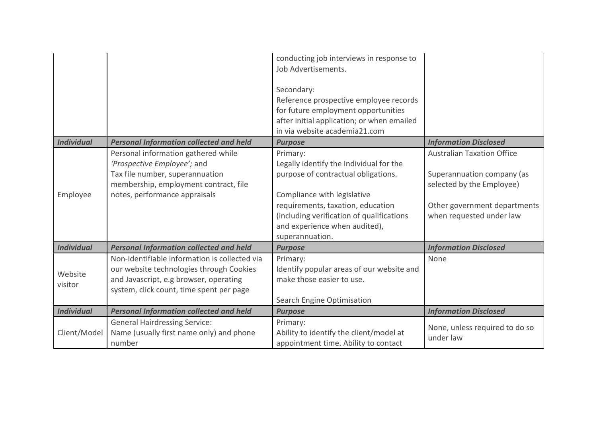|                    |                                                                                                                                                                                 | conducting job interviews in response to<br>Job Advertisements.<br>Secondary:<br>Reference prospective employee records<br>for future employment opportunities<br>after initial application; or when emailed<br>in via website academia21.com                   |                                                                                                                                                          |
|--------------------|---------------------------------------------------------------------------------------------------------------------------------------------------------------------------------|-----------------------------------------------------------------------------------------------------------------------------------------------------------------------------------------------------------------------------------------------------------------|----------------------------------------------------------------------------------------------------------------------------------------------------------|
| <b>Individual</b>  | <b>Personal Information collected and held</b>                                                                                                                                  | <b>Purpose</b>                                                                                                                                                                                                                                                  | <b>Information Disclosed</b>                                                                                                                             |
| Employee           | Personal information gathered while<br>'Prospective Employee'; and<br>Tax file number, superannuation<br>membership, employment contract, file<br>notes, performance appraisals | Primary:<br>Legally identify the Individual for the<br>purpose of contractual obligations.<br>Compliance with legislative<br>requirements, taxation, education<br>(including verification of qualifications<br>and experience when audited),<br>superannuation. | <b>Australian Taxation Office</b><br>Superannuation company (as<br>selected by the Employee)<br>Other government departments<br>when requested under law |
| <b>Individual</b>  | <b>Personal Information collected and held</b>                                                                                                                                  | <b>Purpose</b>                                                                                                                                                                                                                                                  | <b>Information Disclosed</b>                                                                                                                             |
| Website<br>visitor | Non-identifiable information is collected via<br>our website technologies through Cookies<br>and Javascript, e.g browser, operating<br>system, click count, time spent per page | Primary:<br>Identify popular areas of our website and<br>make those easier to use.<br>Search Engine Optimisation                                                                                                                                                | None                                                                                                                                                     |
| <b>Individual</b>  | <b>Personal Information collected and held</b>                                                                                                                                  | <b>Purpose</b>                                                                                                                                                                                                                                                  | <b>Information Disclosed</b>                                                                                                                             |
| Client/Model       | <b>General Hairdressing Service:</b><br>Name (usually first name only) and phone<br>number                                                                                      | Primary:<br>Ability to identify the client/model at<br>appointment time. Ability to contact                                                                                                                                                                     | None, unless required to do so<br>under law                                                                                                              |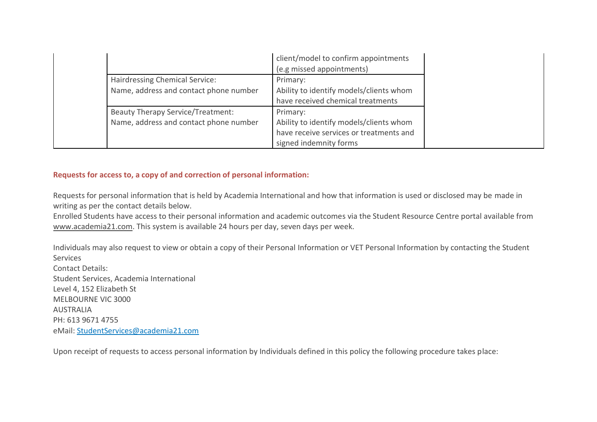|                                          | client/model to confirm appointments<br>(e.g missed appointments) |
|------------------------------------------|-------------------------------------------------------------------|
| Hairdressing Chemical Service:           | Primary:                                                          |
| Name, address and contact phone number   | Ability to identify models/clients whom                           |
|                                          | have received chemical treatments                                 |
| <b>Beauty Therapy Service/Treatment:</b> | Primary:                                                          |
| Name, address and contact phone number   | Ability to identify models/clients whom                           |
|                                          | have receive services or treatments and                           |
|                                          | signed indemnity forms                                            |

# **Requests for access to, a copy of and correction of personal information:**

Requests for personal information that is held by Academia International and how that information is used or disclosed may be made in writing as per the contact details below.

Enrolled Students have access to their personal information and academic outcomes via the Student Resource Centre portal available from [www.academia21.com.](http://www.academia21.com/) This system is available 24 hours per day, seven days per week.

Individuals may also request to view or obtain a copy of their Personal Information or VET Personal Information by contacting the Student **Services** Contact Details: Student Services, Academia International Level 4, 152 Elizabeth St MELBOURNE VIC 3000 AUSTRALIA PH: 613 9671 4755 eMail: [StudentServices@academia21.com](mailto:StudentServices@academia21.com)

Upon receipt of requests to access personal information by Individuals defined in this policy the following procedure takes place: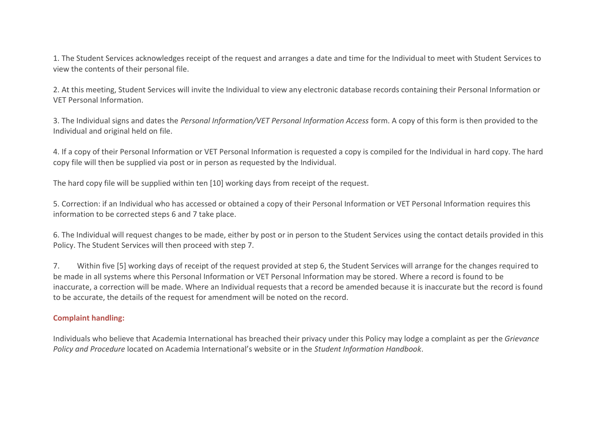1. The Student Services acknowledges receipt of the request and arranges a date and time for the Individual to meet with Student Services to view the contents of their personal file.

2. At this meeting, Student Services will invite the Individual to view any electronic database records containing their Personal Information or VET Personal Information.

3. The Individual signs and dates the *Personal Information/VET Personal Information Access* form. A copy of this form is then provided to the Individual and original held on file.

4. If a copy of their Personal Information or VET Personal Information is requested a copy is compiled for the Individual in hard copy. The hard copy file will then be supplied via post or in person as requested by the Individual.

The hard copy file will be supplied within ten [10] working days from receipt of the request.

5. Correction: if an Individual who has accessed or obtained a copy of their Personal Information or VET Personal Information requires this information to be corrected steps 6 and 7 take place.

6. The Individual will request changes to be made, either by post or in person to the Student Services using the contact details provided in this Policy. The Student Services will then proceed with step 7.

7. Within five [5] working days of receipt of the request provided at step 6, the Student Services will arrange for the changes required to be made in all systems where this Personal Information or VET Personal Information may be stored. Where a record is found to be inaccurate, a correction will be made. Where an Individual requests that a record be amended because it is inaccurate but the record is found to be accurate, the details of the request for amendment will be noted on the record.

# **Complaint handling:**

Individuals who believe that Academia International has breached their privacy under this Policy may lodge a complaint as per the *Grievance Policy and Procedure* located on Academia International's website or in the *Student Information Handbook*.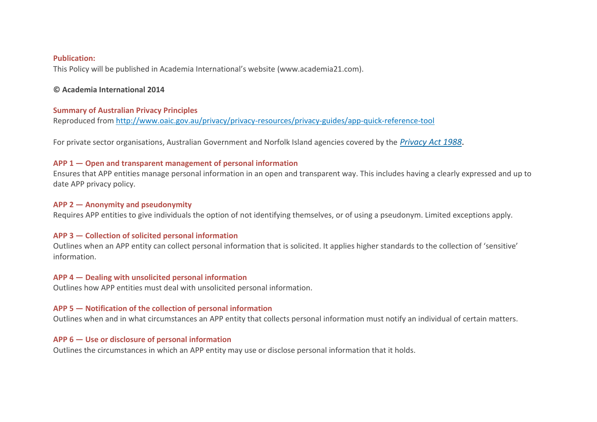#### **Publication:**

This Policy will be published in Academia International's website (www.academia21.com).

## **© Academia International 2014**

### **Summary of Australian Privacy Principles**

Reproduced from<http://www.oaic.gov.au/privacy/privacy-resources/privacy-guides/app-quick-reference-tool>

For private sector organisations, Australian Government and Norfolk Island agencies covered by the *[Privacy](http://www.comlaw.gov.au/Series/C2004A03712) Act 1988*.

# **APP 1 — Open and transparent management of personal information**

Ensures that APP entities manage personal information in an open and transparent way. This includes having a clearly expressed and up to date APP privacy policy.

#### **APP 2 — Anonymity and pseudonymity**

Requires APP entities to give individuals the option of not identifying themselves, or of using a pseudonym. Limited exceptions apply.

### **APP 3 — Collection of solicited personal information**

Outlines when an APP entity can collect personal information that is solicited. It applies higher standards to the collection of 'sensitive' information.

### **APP 4 — Dealing with unsolicited personal information**

Outlines how APP entities must deal with unsolicited personal information.

### **APP 5 — Notification of the collection of personal information**

Outlines when and in what circumstances an APP entity that collects personal information must notify an individual of certain matters.

## **APP 6 — Use or disclosure of personal information**

Outlines the circumstances in which an APP entity may use or disclose personal information that it holds.